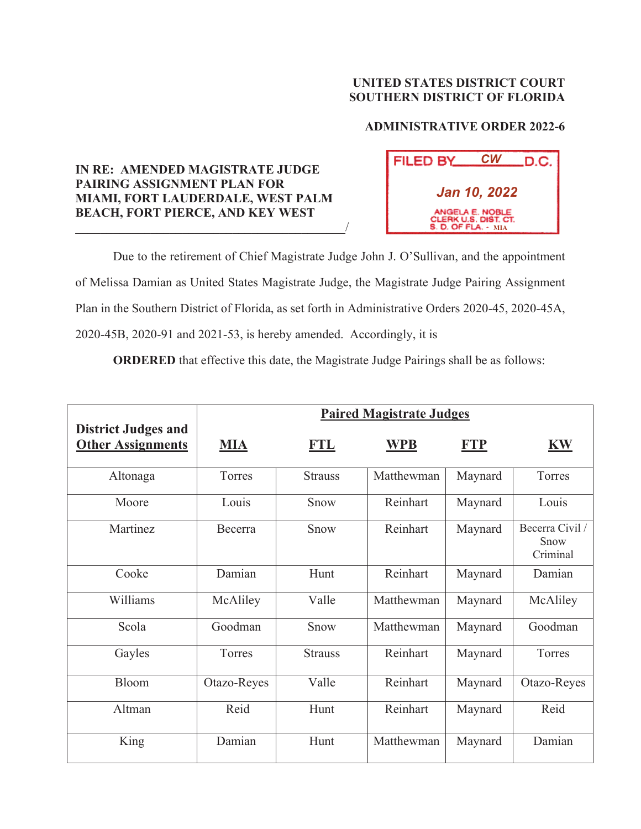## **UNITED STATES DISTRICT COURT SOUTHERN DISTRICT OF FLORIDA**

## **ADMINISTRATIVE ORDER 2022-6**

## **IN RE: AMENDED MAGISTRATE JUDGE PAIRING ASSIGNMENT PLAN FOR MIAMI, FORT LAUDERDALE, WEST PALM BEACH, FORT PIERCE, AND KEY WEST**   $\overline{\phantom{a}}$  , which is a set of the set of the set of the set of the set of the set of the set of the set of the set of the set of the set of the set of the set of the set of the set of the set of the set of the set of th



Due to the retirement of Chief Magistrate Judge John J. O'Sullivan, and the appointment of Melissa Damian as United States Magistrate Judge, the Magistrate Judge Pairing Assignment Plan in the Southern District of Florida, as set forth in Administrative Orders 2020-45, 2020-45A, 2020-45B, 2020-91 and 2021-53, is hereby amended. Accordingly, it is

**ORDERED** that effective this date, the Magistrate Judge Pairings shall be as follows:

|                                                        | <b>Paired Magistrate Judges</b> |                |            |            |                                     |  |
|--------------------------------------------------------|---------------------------------|----------------|------------|------------|-------------------------------------|--|
| <b>District Judges and</b><br><b>Other Assignments</b> | <b>MIA</b>                      | FTL            | WPB        | <b>FTP</b> | <b>KW</b>                           |  |
| Altonaga                                               | Torres                          | <b>Strauss</b> | Matthewman | Maynard    | Torres                              |  |
| Moore                                                  | Louis                           | Snow           | Reinhart   | Maynard    | Louis                               |  |
| Martinez                                               | Becerra                         | Snow           | Reinhart   | Maynard    | Becerra Civil /<br>Snow<br>Criminal |  |
| Cooke                                                  | Damian                          | Hunt           | Reinhart   | Maynard    | Damian                              |  |
| Williams                                               | McAliley                        | Valle          | Matthewman | Maynard    | McAliley                            |  |
| Scola                                                  | Goodman                         | Snow           | Matthewman | Maynard    | Goodman                             |  |
| Gayles                                                 | Torres                          | <b>Strauss</b> | Reinhart   | Maynard    | Torres                              |  |
| Bloom                                                  | Otazo-Reyes                     | Valle          | Reinhart   | Maynard    | Otazo-Reyes                         |  |
| Altman                                                 | Reid                            | Hunt           | Reinhart   | Maynard    | Reid                                |  |
| King                                                   | Damian                          | Hunt           | Matthewman | Maynard    | Damian                              |  |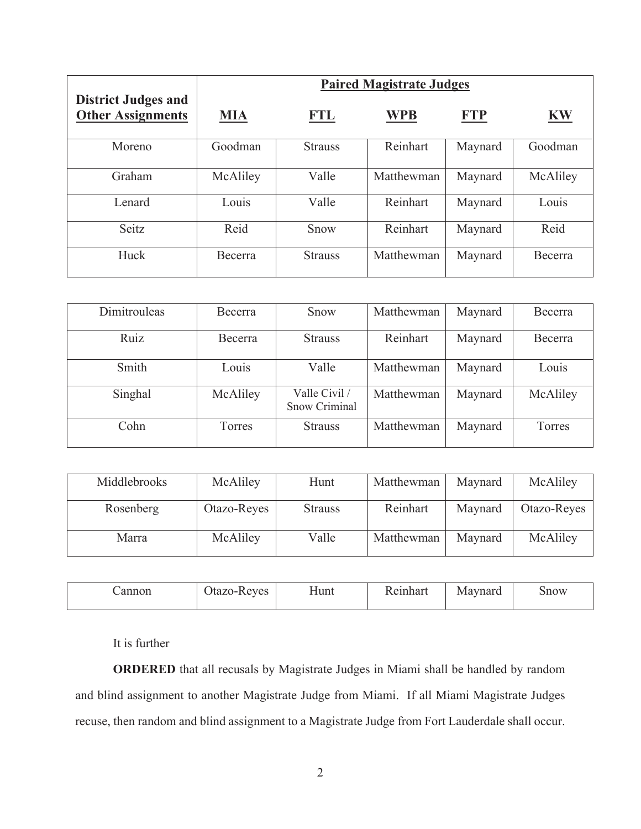|                                                        | <b>Paired Magistrate Judges</b> |                |            |            |           |
|--------------------------------------------------------|---------------------------------|----------------|------------|------------|-----------|
| <b>District Judges and</b><br><b>Other Assignments</b> | <b>MIA</b>                      | <b>FTL</b>     | <b>WPB</b> | <b>FTP</b> | <b>KW</b> |
| Moreno                                                 | Goodman                         | <b>Strauss</b> | Reinhart   | Maynard    | Goodman   |
| Graham                                                 | McAliley                        | Valle          | Matthewman | Maynard    | McAliley  |
| Lenard                                                 | Louis                           | Valle          | Reinhart   | Maynard    | Louis     |
| Seitz                                                  | Reid                            | Snow           | Reinhart   | Maynard    | Reid      |
| Huck                                                   | Becerra                         | <b>Strauss</b> | Matthewman | Maynard    | Becerra   |

| Dimitrouleas | <b>Becerra</b> | Snow                           | Matthewman | Maynard | Becerra  |
|--------------|----------------|--------------------------------|------------|---------|----------|
| Ruiz         | Becerra        | <b>Strauss</b>                 | Reinhart   | Maynard | Becerra  |
| Smith        | Louis          | Valle                          | Matthewman | Maynard | Louis    |
| Singhal      | McAliley       | Valle Civil /<br>Snow Criminal | Matthewman | Maynard | McAliley |
| Cohn         | Torres         | <b>Strauss</b>                 | Matthewman | Maynard | Torres   |

| Middlebrooks | McAliley    | Hunt           | Matthewman | Maynard | McAliley    |
|--------------|-------------|----------------|------------|---------|-------------|
| Rosenberg    | Otazo-Reyes | <b>Strauss</b> | Reinhart   | Maynard | Otazo-Reyes |
| Marra        | McAliley    | Valle          | Matthewman | Maynard | McAliley    |

| annon | Itazo.<br>eves<br>л.<br>$\infty$ | Hunt | $\alpha$ in and<br>паг | aynard<br>$\cdots$ | 500W |
|-------|----------------------------------|------|------------------------|--------------------|------|
|-------|----------------------------------|------|------------------------|--------------------|------|

It is further

**ORDERED** that all recusals by Magistrate Judges in Miami shall be handled by random and blind assignment to another Magistrate Judge from Miami. If all Miami Magistrate Judges recuse, then random and blind assignment to a Magistrate Judge from Fort Lauderdale shall occur.